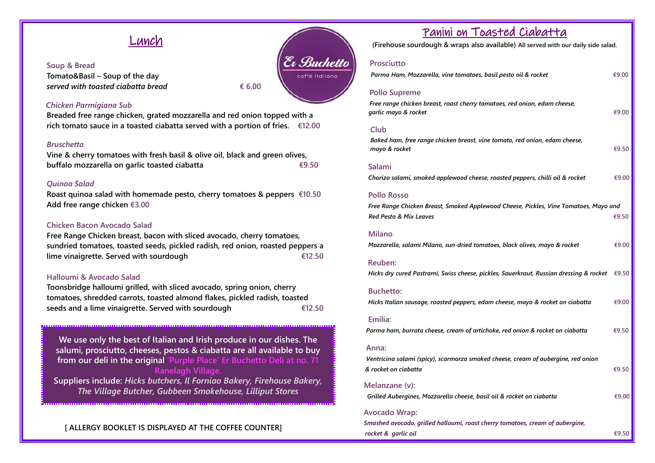# Lunch

#### **Soup & Bread**

**Tomato&Basil – Soup of the day**  $served with to a steel ciabatta bread$   $\qquad \qquad \in 6.00$ 

Er Buchetto caffé italiano

### *Chicken Parmigiana Sub*

**Breaded free range chicken, grated mozzarella and red onion topped with a rich tomato sauce in a toasted ciabatta served with a portion of fries. €12.00**

#### *Bruschetta*

**Vine & cherry tomatoes with fresh basil & olive oil, black and green olives, buffalo mozzarella on garlic toasted ciabatta €9.50**

#### *Quinoa Salad*

**Roast quinoa salad with homemade pesto, cherry tomatoes & peppers****€10.50 Add free range chicken €3.00**

## **Chicken Bacon Avocado Salad**

**Free Range Chicken breast, bacon with sliced avocado, cherry tomatoes, sundried tomatoes, toasted seeds, pickled radish, red onion, roasted peppers a lime vinaigrette. Served with sourdough €12.50**

#### **Halloumi & Avocado Salad**

**Toonsbridge halloumi grilled, with sliced avocado, spring onion, cherry tomatoes, shredded carrots, toasted almond flakes, pickled radish, toasted seeds and a lime vinaigrette. Served with sourdough €12.50**

**We use only the best of Italian and Irish produce in our dishes. The salumi, prosciutto, cheeses, pestos & ciabatta are all available to buy from our deli in the original 'Purple Place' Er Buchetto Deli at no. 71 Ranelagh Village. Suppliers include:** *Hicks butchers, Il Forniao Bakery, Firehouse Bakery, The Village Butcher, Gubbeen Smokehouse, Lilliput Stores*

# **[ ALLERGY BOOKLET IS DISPLAYED AT THE COFFEE COUNTER]**

# Panini on Toasted Ciabatta

**(Firehouse sourdough & wraps also available) All served with our daily side salad.**

# **Prosciutto**

| rcuv                                | <b>FIUSCIULLU</b>                                                                                 |          |
|-------------------------------------|---------------------------------------------------------------------------------------------------|----------|
| onc                                 | Parma Ham, Mozzarella, vine tomatoes, basil pesto oil & rocket                                    | €9.00    |
|                                     | <b>Pollo Supreme</b>                                                                              |          |
|                                     | Free range chicken breast, roast cherry tomatoes, red onion, edam cheese,<br>garlic mayo & rocket | €9.00    |
|                                     | Club                                                                                              |          |
|                                     | Baked ham, free range chicken breast, vine tomato, red onion, edam cheese,<br>mayo & rocket       | €9.50    |
|                                     | <b>Salami</b>                                                                                     |          |
|                                     | Chorizo salami, smoked applewood cheese, roasted peppers, chilli oil & rocket                     | €9.00    |
|                                     | <b>Pollo Rosso</b>                                                                                |          |
|                                     | Free Range Chicken Breast, Smoked Applewood Cheese, Pickles, Vine Tomatoes, Mayo and              |          |
|                                     | Red Pesto & Mix Leaves                                                                            | € $9.50$ |
|                                     | <b>Milano</b>                                                                                     |          |
|                                     | Mozzarella, salami Milano, sun-dried tomatoes, black olives, mayo & rocket                        | €9.00    |
|                                     | Reuben:                                                                                           |          |
|                                     | Hicks dry cured Pastrami, Swiss cheese, pickles, Sauerkraut, Russian dressing & rocket            | €9.50    |
|                                     | <b>Buchetto:</b>                                                                                  |          |
|                                     | Hicks Italian sausage, roasted peppers, edam cheese, mayo & rocket on ciabatta                    | €9.00    |
|                                     | Emilia:                                                                                           |          |
|                                     | Parma ham, burrata cheese, cream of artichoke, red onion & rocket on ciabatta                     | €9.50    |
| <b>Andrew Miller (School School</b> | Anna:                                                                                             |          |
|                                     | Ventricina salami (spicy), scarmorza smoked cheese, cream of aubergine, red onion                 |          |
|                                     | & rocket on ciabatta                                                                              | €9.50    |
|                                     | Melanzane (v):                                                                                    |          |
|                                     | Grilled Aubergines, Mozzarella cheese, basil oil & rocket on ciabatta                             | €9.00    |
|                                     | <b>Avocado Wrap:</b>                                                                              |          |
|                                     | Smashed avocado, grilled halloumi, roast cherry tomatoes, cream of aubergine,                     |          |
|                                     | rocket & garlic oil                                                                               | €9.50    |